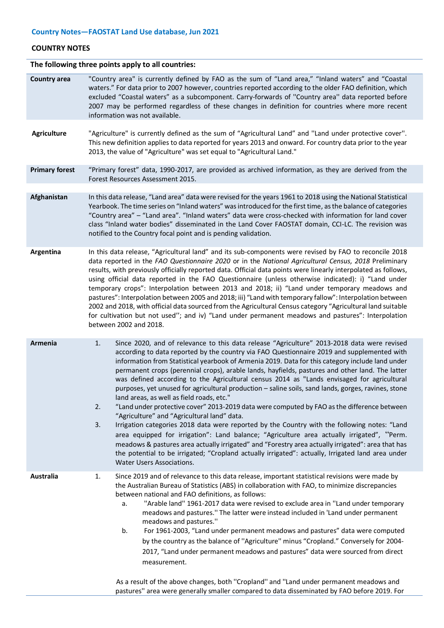#### **COUNTRY NOTES**

# **The following three points apply to all countries:**

| <b>Country area</b>   | "Country area" is currently defined by FAO as the sum of "Land area," "Inland waters" and "Coastal<br>waters." For data prior to 2007 however, countries reported according to the older FAO definition, which<br>excluded "Coastal waters" as a subcomponent. Carry-forwards of "Country area" data reported before<br>2007 may be performed regardless of these changes in definition for countries where more recent<br>information was not available.                                                                                                                                                                                                                                                                                                                                                                                                                                                                                                                                                                                                                                                                                                                                                                                                          |  |  |  |  |
|-----------------------|--------------------------------------------------------------------------------------------------------------------------------------------------------------------------------------------------------------------------------------------------------------------------------------------------------------------------------------------------------------------------------------------------------------------------------------------------------------------------------------------------------------------------------------------------------------------------------------------------------------------------------------------------------------------------------------------------------------------------------------------------------------------------------------------------------------------------------------------------------------------------------------------------------------------------------------------------------------------------------------------------------------------------------------------------------------------------------------------------------------------------------------------------------------------------------------------------------------------------------------------------------------------|--|--|--|--|
| <b>Agriculture</b>    | "Agriculture" is currently defined as the sum of "Agricultural Land" and "Land under protective cover".<br>This new definition applies to data reported for years 2013 and onward. For country data prior to the year<br>2013, the value of "Agriculture" was set equal to "Agricultural Land."                                                                                                                                                                                                                                                                                                                                                                                                                                                                                                                                                                                                                                                                                                                                                                                                                                                                                                                                                                    |  |  |  |  |
| <b>Primary forest</b> | "Primary forest" data, 1990-2017, are provided as archived information, as they are derived from the<br>Forest Resources Assessment 2015.                                                                                                                                                                                                                                                                                                                                                                                                                                                                                                                                                                                                                                                                                                                                                                                                                                                                                                                                                                                                                                                                                                                          |  |  |  |  |
| Afghanistan           | In this data release, "Land area" data were revised for the years 1961 to 2018 using the National Statistical<br>Yearbook. The time series on "Inland waters" was introduced for the first time, as the balance of categories<br>"Country area" - "Land area". "Inland waters" data were cross-checked with information for land cover<br>class "Inland water bodies" disseminated in the Land Cover FAOSTAT domain, CCI-LC. The revision was<br>notified to the Country focal point and is pending validation.                                                                                                                                                                                                                                                                                                                                                                                                                                                                                                                                                                                                                                                                                                                                                    |  |  |  |  |
| Argentina             | In this data release, "Agricultural land" and its sub-components were revised by FAO to reconcile 2018<br>data reported in the FAO Questionnaire 2020 or in the National Agricultural Census, 2018 Preliminary<br>results, with previously officially reported data. Official data points were linearly interpolated as follows,<br>using official data reported in the FAO Questionnaire (unless otherwise indicated): i) "Land under<br>temporary crops": Interpolation between 2013 and 2018; ii) "Land under temporary meadows and<br>pastures": Interpolation between 2005 and 2018; iii) "Land with temporary fallow": Interpolation between<br>2002 and 2018, with official data sourced from the Agricultural Census category "Agricultural land suitable<br>for cultivation but not used"; and iv) "Land under permanent meadows and pastures": Interpolation<br>between 2002 and 2018.                                                                                                                                                                                                                                                                                                                                                                   |  |  |  |  |
| Armenia               | 1.<br>Since 2020, and of relevance to this data release "Agriculture" 2013-2018 data were revised<br>according to data reported by the country via FAO Questionnaire 2019 and supplemented with<br>information from Statistical yearbook of Armenia 2019. Data for this category include land under<br>permanent crops (perennial crops), arable lands, hayfields, pastures and other land. The latter<br>was defined according to the Agricultural census 2014 as "Lands envisaged for agricultural<br>purposes, yet unused for agricultural production - saline soils, sand lands, gorges, ravines, stone<br>land areas, as well as field roads, etc."<br>"Land under protective cover" 2013-2019 data were computed by FAO as the difference between<br>$\mathcal{P}$<br>"Agriculture" and "Agricultural land" data.<br>3.<br>Irrigation categories 2018 data were reported by the Country with the following notes: "Land<br>area equipped for irrigation": Land balance; "Agriculture area actually irrigated", "Perm.<br>meadows & pastures area actually irrigated" and "Forestry area actually irrigated": area that has<br>the potential to be irrigated; "Cropland actually irrigated": actually, Irrigated land area under<br>Water Users Associations. |  |  |  |  |
| <b>Australia</b>      | Since 2019 and of relevance to this data release, important statistical revisions were made by<br>1.<br>the Australian Bureau of Statistics (ABS) in collaboration with FAO, to minimize discrepancies<br>between national and FAO definitions, as follows:<br>"Arable land" 1961-2017 data were revised to exclude area in "Land under temporary<br>a.<br>meadows and pastures." The latter were instead included in 'Land under permanent<br>meadows and pastures."<br>For 1961-2003, "Land under permanent meadows and pastures" data were computed<br>b.<br>by the country as the balance of "Agriculture" minus "Cropland." Conversely for 2004-<br>2017, "Land under permanent meadows and pastures" data were sourced from direct<br>measurement.<br>As a result of the above changes, both "Cropland" and "Land under permanent meadows and                                                                                                                                                                                                                                                                                                                                                                                                                |  |  |  |  |
|                       | pastures" area were generally smaller compared to data disseminated by FAO before 2019. For                                                                                                                                                                                                                                                                                                                                                                                                                                                                                                                                                                                                                                                                                                                                                                                                                                                                                                                                                                                                                                                                                                                                                                        |  |  |  |  |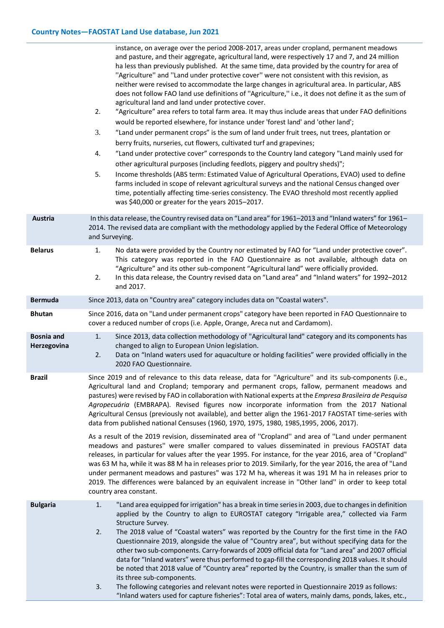|                                  | instance, on average over the period 2008-2017, areas under cropland, permanent meadows<br>and pasture, and their aggregate, agricultural land, were respectively 17 and 7, and 24 million<br>ha less than previously published. At the same time, data provided by the country for area of<br>"Agriculture" and "Land under protective cover" were not consistent with this revision, as<br>neither were revised to accommodate the large changes in agricultural area. In particular, ABS<br>does not follow FAO land use definitions of "Agriculture," i.e., it does not define it as the sum of<br>agricultural land and land under protective cover.<br>"Agriculture" area refers to total farm area. It may thus include areas that under FAO definitions<br>2.<br>would be reported elsewhere, for instance under 'forest land' and 'other land';<br>3.<br>"Land under permanent crops" is the sum of land under fruit trees, nut trees, plantation or<br>berry fruits, nurseries, cut flowers, cultivated turf and grapevines;<br>"Land under protective cover" corresponds to the Country land category "Land mainly used for<br>4.<br>other agricultural purposes (including feedlots, piggery and poultry sheds)";<br>5.<br>Income thresholds (ABS term: Estimated Value of Agricultural Operations, EVAO) used to define<br>farms included in scope of relevant agricultural surveys and the national Census changed over<br>time, potentially affecting time-series consistency. The EVAO threshold most recently applied<br>was \$40,000 or greater for the years 2015-2017. |  |  |  |
|----------------------------------|--------------------------------------------------------------------------------------------------------------------------------------------------------------------------------------------------------------------------------------------------------------------------------------------------------------------------------------------------------------------------------------------------------------------------------------------------------------------------------------------------------------------------------------------------------------------------------------------------------------------------------------------------------------------------------------------------------------------------------------------------------------------------------------------------------------------------------------------------------------------------------------------------------------------------------------------------------------------------------------------------------------------------------------------------------------------------------------------------------------------------------------------------------------------------------------------------------------------------------------------------------------------------------------------------------------------------------------------------------------------------------------------------------------------------------------------------------------------------------------------------------------------------------------------------------------------------------------------|--|--|--|
| Austria                          | In this data release, the Country revised data on "Land area" for 1961-2013 and "Inland waters" for 1961-<br>2014. The revised data are compliant with the methodology applied by the Federal Office of Meteorology<br>and Surveying.                                                                                                                                                                                                                                                                                                                                                                                                                                                                                                                                                                                                                                                                                                                                                                                                                                                                                                                                                                                                                                                                                                                                                                                                                                                                                                                                                      |  |  |  |
| <b>Belarus</b>                   | No data were provided by the Country nor estimated by FAO for "Land under protective cover".<br>1.<br>This category was reported in the FAO Questionnaire as not available, although data on<br>"Agriculture" and its other sub-component "Agricultural land" were officially provided.<br>In this data release, the Country revised data on "Land area" and "Inland waters" for 1992-2012<br>2.<br>and 2017.                                                                                                                                                                                                                                                                                                                                                                                                                                                                                                                                                                                                                                                                                                                                                                                                                                                                                                                                                                                                                                                                                                                                                                              |  |  |  |
| <b>Bermuda</b>                   | Since 2013, data on "Country area" category includes data on "Coastal waters".                                                                                                                                                                                                                                                                                                                                                                                                                                                                                                                                                                                                                                                                                                                                                                                                                                                                                                                                                                                                                                                                                                                                                                                                                                                                                                                                                                                                                                                                                                             |  |  |  |
| <b>Bhutan</b>                    | Since 2016, data on "Land under permanent crops" category have been reported in FAO Questionnaire to<br>cover a reduced number of crops (i.e. Apple, Orange, Areca nut and Cardamom).                                                                                                                                                                                                                                                                                                                                                                                                                                                                                                                                                                                                                                                                                                                                                                                                                                                                                                                                                                                                                                                                                                                                                                                                                                                                                                                                                                                                      |  |  |  |
| <b>Bosnia</b> and<br>Herzegovina | Since 2013, data collection methodology of "Agricultural land" category and its components has<br>1.<br>changed to align to European Union legislation.<br>Data on "Inland waters used for aquaculture or holding facilities" were provided officially in the<br>2.<br>2020 FAO Questionnaire.                                                                                                                                                                                                                                                                                                                                                                                                                                                                                                                                                                                                                                                                                                                                                                                                                                                                                                                                                                                                                                                                                                                                                                                                                                                                                             |  |  |  |
| <b>Brazil</b>                    | Since 2019 and of relevance to this data release, data for "Agriculture" and its sub-components (i.e.,<br>Agricultural land and Cropland; temporary and permanent crops, fallow, permanent meadows and<br>pastures) were revised by FAO in collaboration with National experts at the <i>Empresa Brasileira de Pesquisa</i><br>Agropecuária (EMBRAPA). Revised figures now incorporate information from the 2017 National<br>Agricultural Census (previously not available), and better align the 1961-2017 FAOSTAT time-series with<br>data from published national Censuses (1960, 1970, 1975, 1980, 1985, 1995, 2006, 2017).                                                                                                                                                                                                                                                                                                                                                                                                                                                                                                                                                                                                                                                                                                                                                                                                                                                                                                                                                            |  |  |  |
|                                  | As a result of the 2019 revision, disseminated area of "Cropland" and area of "Land under permanent<br>meadows and pastures" were smaller compared to values disseminated in previous FAOSTAT data<br>releases, in particular for values after the year 1995. For instance, for the year 2016, area of "Cropland"<br>was 63 M ha, while it was 88 M ha in releases prior to 2019. Similarly, for the year 2016, the area of "Land<br>under permanent meadows and pastures" was 172 M ha, whereas it was 191 M ha in releases prior to<br>2019. The differences were balanced by an equivalent increase in "Other land" in order to keep total<br>country area constant.                                                                                                                                                                                                                                                                                                                                                                                                                                                                                                                                                                                                                                                                                                                                                                                                                                                                                                                    |  |  |  |
| <b>Bulgaria</b>                  | "Land area equipped for irrigation" has a break in time series in 2003, due to changes in definition<br>1.<br>applied by the Country to align to EUROSTAT category "Irrigable area," collected via Farm<br>Structure Survey.<br>The 2018 value of "Coastal waters" was reported by the Country for the first time in the FAO<br>2.<br>Questionnaire 2019, alongside the value of "Country area", but without specifying data for the<br>other two sub-components. Carry-forwards of 2009 official data for "Land area" and 2007 official<br>data for "Inland waters" were thus performed to gap-fill the corresponding 2018 values. It should<br>be noted that 2018 value of "Country area" reported by the Country, is smaller than the sum of<br>its three sub-components.<br>The following categories and relevant notes were reported in Questionnaire 2019 as follows:<br>3.<br>"Inland waters used for capture fisheries": Total area of waters, mainly dams, ponds, lakes, etc.,                                                                                                                                                                                                                                                                                                                                                                                                                                                                                                                                                                                                    |  |  |  |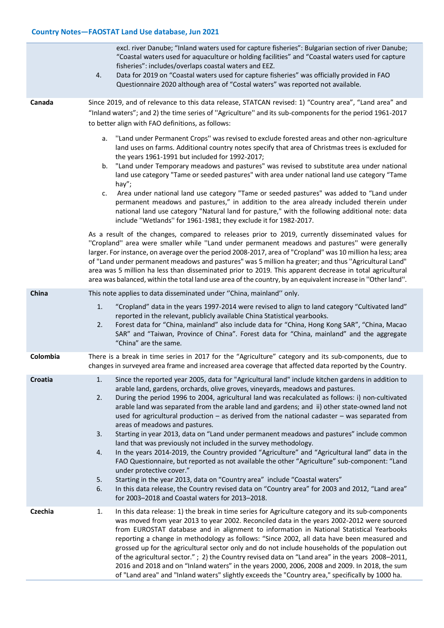|          | excl. river Danube; "Inland waters used for capture fisheries": Bulgarian section of river Danube;<br>"Coastal waters used for aquaculture or holding facilities" and "Coastal waters used for capture<br>fisheries": includes/overlaps coastal waters and EEZ.<br>Data for 2019 on "Coastal waters used for capture fisheries" was officially provided in FAO<br>4.<br>Questionnaire 2020 although area of "Costal waters" was reported not available.                                                                                                                                                                                                                                                                                                                                                                                                                                                                                                                                                                                                                                                                                                                                                                                                                                                                                                                                                                                                                                                                                                                                                                                                                                                                                                                         |  |
|----------|---------------------------------------------------------------------------------------------------------------------------------------------------------------------------------------------------------------------------------------------------------------------------------------------------------------------------------------------------------------------------------------------------------------------------------------------------------------------------------------------------------------------------------------------------------------------------------------------------------------------------------------------------------------------------------------------------------------------------------------------------------------------------------------------------------------------------------------------------------------------------------------------------------------------------------------------------------------------------------------------------------------------------------------------------------------------------------------------------------------------------------------------------------------------------------------------------------------------------------------------------------------------------------------------------------------------------------------------------------------------------------------------------------------------------------------------------------------------------------------------------------------------------------------------------------------------------------------------------------------------------------------------------------------------------------------------------------------------------------------------------------------------------------|--|
| Canada   | Since 2019, and of relevance to this data release, STATCAN revised: 1) "Country area", "Land area" and<br>"Inland waters"; and 2) the time series of "Agriculture" and its sub-components for the period 1961-2017<br>to better align with FAO definitions, as follows:<br>"Land under Permanent Crops" was revised to exclude forested areas and other non-agriculture<br>a.<br>land uses on farms. Additional country notes specify that area of Christmas trees is excluded for<br>the years 1961-1991 but included for 1992-2017;<br>"Land under Temporary meadows and pastures" was revised to substitute area under national<br>b.<br>land use category "Tame or seeded pastures" with area under national land use category "Tame<br>hay";<br>Area under national land use category "Tame or seeded pastures" was added to "Land under<br>c.<br>permanent meadows and pastures," in addition to the area already included therein under<br>national land use category "Natural land for pasture," with the following additional note: data<br>include "Wetlands" for 1961-1981; they exclude it for 1982-2017.<br>As a result of the changes, compared to releases prior to 2019, currently disseminated values for<br>"Cropland" area were smaller while "Land under permanent meadows and pastures" were generally<br>larger. For instance, on average over the period 2008-2017, area of "Cropland" was 10 million ha less; area<br>of "Land under permanent meadows and pastures" was 5 million ha greater; and thus "Agricultural Land"<br>area was 5 million ha less than disseminated prior to 2019. This apparent decrease in total agricultural<br>area was balanced, within the total land use area of the country, by an equivalent increase in "Other land". |  |
| China    | This note applies to data disseminated under "China, mainland" only.<br>"Cropland" data in the years 1997-2014 were revised to align to land category "Cultivated land"<br>1.<br>reported in the relevant, publicly available China Statistical yearbooks.<br>Forest data for "China, mainland" also include data for "China, Hong Kong SAR", "China, Macao<br>2.<br>SAR" and "Taiwan, Province of China". Forest data for "China, mainland" and the aggregate<br>"China" are the same.                                                                                                                                                                                                                                                                                                                                                                                                                                                                                                                                                                                                                                                                                                                                                                                                                                                                                                                                                                                                                                                                                                                                                                                                                                                                                         |  |
| Colombia | There is a break in time series in 2017 for the "Agriculture" category and its sub-components, due to<br>changes in surveyed area frame and increased area coverage that affected data reported by the Country.                                                                                                                                                                                                                                                                                                                                                                                                                                                                                                                                                                                                                                                                                                                                                                                                                                                                                                                                                                                                                                                                                                                                                                                                                                                                                                                                                                                                                                                                                                                                                                 |  |
| Croatia  | Since the reported year 2005, data for "Agricultural land" include kitchen gardens in addition to<br>1.<br>arable land, gardens, orchards, olive groves, vineyards, meadows and pastures.<br>During the period 1996 to 2004, agricultural land was recalculated as follows: i) non-cultivated<br>2.<br>arable land was separated from the arable land and gardens; and ii) other state-owned land not<br>used for agricultural production $-$ as derived from the national cadaster $-$ was separated from<br>areas of meadows and pastures.<br>3.<br>Starting in year 2013, data on "Land under permanent meadows and pastures" include common<br>land that was previously not included in the survey methodology.<br>In the years 2014-2019, the Country provided "Agriculture" and "Agricultural land" data in the<br>4.<br>FAO Questionnaire, but reported as not available the other "Agriculture" sub-component: "Land<br>under protective cover."<br>Starting in the year 2013, data on "Country area" include "Coastal waters"<br>5.<br>In this data release, the Country revised data on "Country area" for 2003 and 2012, "Land area"<br>6.<br>for 2003-2018 and Coastal waters for 2013-2018.                                                                                                                                                                                                                                                                                                                                                                                                                                                                                                                                                                        |  |
| Czechia  | In this data release: 1) the break in time series for Agriculture category and its sub-components<br>1.<br>was moved from year 2013 to year 2002. Reconciled data in the years 2002-2012 were sourced<br>from EUROSTAT database and in alignment to information in National Statistical Yearbooks<br>reporting a change in methodology as follows: "Since 2002, all data have been measured and<br>grossed up for the agricultural sector only and do not include households of the population out<br>of the agricultural sector." ; 2) the Country revised data on "Land area" in the years 2008-2011,<br>2016 and 2018 and on "Inland waters" in the years 2000, 2006, 2008 and 2009. In 2018, the sum<br>of "Land area" and "Inland waters" slightly exceeds the "Country area," specifically by 1000 ha.                                                                                                                                                                                                                                                                                                                                                                                                                                                                                                                                                                                                                                                                                                                                                                                                                                                                                                                                                                    |  |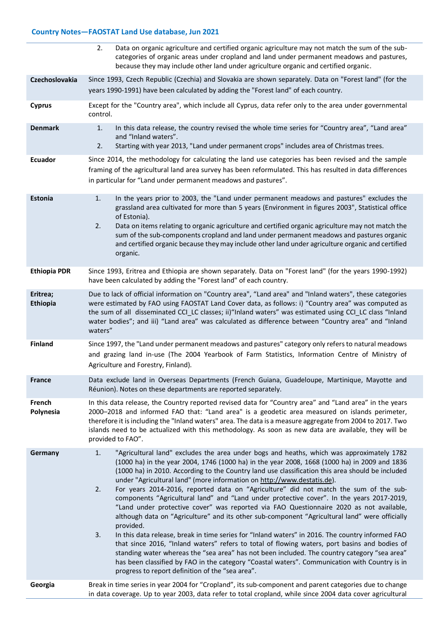|                      | 2.<br>Data on organic agriculture and certified organic agriculture may not match the sum of the sub-<br>categories of organic areas under cropland and land under permanent meadows and pastures,<br>because they may include other land under agriculture organic and certified organic.                                                                                                                                                                                                                                                                                                                                                                                                                                                                                                                                                                                                                                                                                                                                                                                                                                                                                                                                                           |  |  |  |  |
|----------------------|------------------------------------------------------------------------------------------------------------------------------------------------------------------------------------------------------------------------------------------------------------------------------------------------------------------------------------------------------------------------------------------------------------------------------------------------------------------------------------------------------------------------------------------------------------------------------------------------------------------------------------------------------------------------------------------------------------------------------------------------------------------------------------------------------------------------------------------------------------------------------------------------------------------------------------------------------------------------------------------------------------------------------------------------------------------------------------------------------------------------------------------------------------------------------------------------------------------------------------------------------|--|--|--|--|
| Czechoslovakia       | Since 1993, Czech Republic (Czechia) and Slovakia are shown separately. Data on "Forest land" (for the<br>years 1990-1991) have been calculated by adding the "Forest land" of each country.                                                                                                                                                                                                                                                                                                                                                                                                                                                                                                                                                                                                                                                                                                                                                                                                                                                                                                                                                                                                                                                         |  |  |  |  |
| <b>Cyprus</b>        | Except for the "Country area", which include all Cyprus, data refer only to the area under governmental<br>control.                                                                                                                                                                                                                                                                                                                                                                                                                                                                                                                                                                                                                                                                                                                                                                                                                                                                                                                                                                                                                                                                                                                                  |  |  |  |  |
| <b>Denmark</b>       | In this data release, the country revised the whole time series for "Country area", "Land area"<br>1.<br>and "Inland waters".<br>2.<br>Starting with year 2013, "Land under permanent crops" includes area of Christmas trees.                                                                                                                                                                                                                                                                                                                                                                                                                                                                                                                                                                                                                                                                                                                                                                                                                                                                                                                                                                                                                       |  |  |  |  |
| Ecuador              | Since 2014, the methodology for calculating the land use categories has been revised and the sample<br>framing of the agricultural land area survey has been reformulated. This has resulted in data differences<br>in particular for "Land under permanent meadows and pastures".                                                                                                                                                                                                                                                                                                                                                                                                                                                                                                                                                                                                                                                                                                                                                                                                                                                                                                                                                                   |  |  |  |  |
| Estonia              | In the years prior to 2003, the "Land under permanent meadows and pastures" excludes the<br>1.<br>grassland area cultivated for more than 5 years (Environment in figures 2003", Statistical office<br>of Estonia).<br>Data on items relating to organic agriculture and certified organic agriculture may not match the<br>2.<br>sum of the sub-components cropland and land under permanent meadows and pastures organic<br>and certified organic because they may include other land under agriculture organic and certified<br>organic.                                                                                                                                                                                                                                                                                                                                                                                                                                                                                                                                                                                                                                                                                                          |  |  |  |  |
| <b>Ethiopia PDR</b>  | Since 1993, Eritrea and Ethiopia are shown separately. Data on "Forest land" (for the years 1990-1992)<br>have been calculated by adding the "Forest land" of each country.                                                                                                                                                                                                                                                                                                                                                                                                                                                                                                                                                                                                                                                                                                                                                                                                                                                                                                                                                                                                                                                                          |  |  |  |  |
| Eritrea;<br>Ethiopia | Due to lack of official information on "Country area", "Land area" and "Inland waters", these categories<br>were estimated by FAO using FAOSTAT Land Cover data, as follows: i) "Country area" was computed as<br>the sum of all disseminated CCI_LC classes; ii)"Inland waters" was estimated using CCI_LC class "Inland<br>water bodies"; and iii) "Land area" was calculated as difference between "Country area" and "Inland<br>waters"                                                                                                                                                                                                                                                                                                                                                                                                                                                                                                                                                                                                                                                                                                                                                                                                          |  |  |  |  |
| <b>Finland</b>       | Since 1997, the "Land under permanent meadows and pastures" category only refers to natural meadows<br>and grazing land in-use (The 2004 Yearbook of Farm Statistics, Information Centre of Ministry of<br>Agriculture and Forestry, Finland).                                                                                                                                                                                                                                                                                                                                                                                                                                                                                                                                                                                                                                                                                                                                                                                                                                                                                                                                                                                                       |  |  |  |  |
| <b>France</b>        | Data exclude land in Overseas Departments (French Guiana, Guadeloupe, Martinique, Mayotte and<br>Réunion). Notes on these departments are reported separately.                                                                                                                                                                                                                                                                                                                                                                                                                                                                                                                                                                                                                                                                                                                                                                                                                                                                                                                                                                                                                                                                                       |  |  |  |  |
| French<br>Polynesia  | In this data release, the Country reported revised data for "Country area" and "Land area" in the years<br>2000-2018 and informed FAO that: "Land area" is a geodetic area measured on islands perimeter,<br>therefore it is including the "Inland waters" area. The data is a measure aggregate from 2004 to 2017. Two<br>islands need to be actualized with this methodology. As soon as new data are available, they will be<br>provided to FAO".                                                                                                                                                                                                                                                                                                                                                                                                                                                                                                                                                                                                                                                                                                                                                                                                 |  |  |  |  |
| Germany              | "Agricultural land" excludes the area under bogs and heaths, which was approximately 1782<br>1.<br>(1000 ha) in the year 2004, 1746 (1000 ha) in the year 2008, 1668 (1000 ha) in 2009 and 1836<br>(1000 ha) in 2010. According to the Country land use classification this area should be included<br>under "Agricultural land" (more information on http://www.destatis.de).<br>For years 2014-2016, reported data on "Agriculture" did not match the sum of the sub-<br>2.<br>components "Agricultural land" and "Land under protective cover". In the years 2017-2019,<br>"Land under protective cover" was reported via FAO Questionnaire 2020 as not available,<br>although data on "Agriculture" and its other sub-component "Agricultural land" were officially<br>provided.<br>In this data release, break in time series for "Inland waters" in 2016. The country informed FAO<br>3.<br>that since 2016, "Inland waters" refers to total of flowing waters, port basins and bodies of<br>standing water whereas the "sea area" has not been included. The country category "sea area"<br>has been classified by FAO in the category "Coastal waters". Communication with Country is in<br>progress to report definition of the "sea area". |  |  |  |  |
| Georgia              | Break in time series in year 2004 for "Cropland", its sub-component and parent categories due to change<br>in data coverage. Up to year 2003, data refer to total cropland, while since 2004 data cover agricultural                                                                                                                                                                                                                                                                                                                                                                                                                                                                                                                                                                                                                                                                                                                                                                                                                                                                                                                                                                                                                                 |  |  |  |  |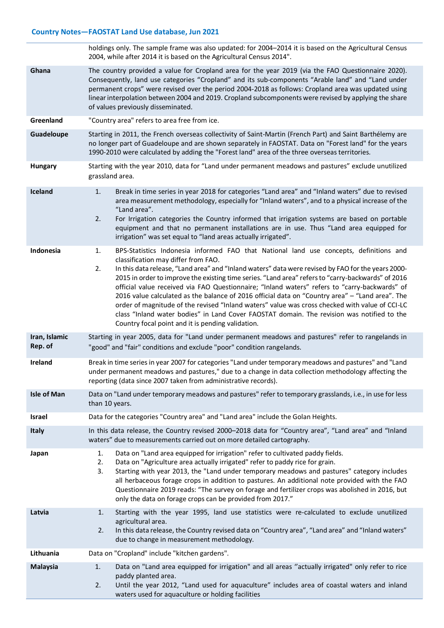|                          | holdings only. The sample frame was also updated: for 2004-2014 it is based on the Agricultural Census<br>2004, while after 2014 it is based on the Agricultural Census 2014".                                                                                                                                                                                                                                                                                                                                                                                                                                                                                                                                                                                                                                 |  |  |  |  |
|--------------------------|----------------------------------------------------------------------------------------------------------------------------------------------------------------------------------------------------------------------------------------------------------------------------------------------------------------------------------------------------------------------------------------------------------------------------------------------------------------------------------------------------------------------------------------------------------------------------------------------------------------------------------------------------------------------------------------------------------------------------------------------------------------------------------------------------------------|--|--|--|--|
| Ghana                    | The country provided a value for Cropland area for the year 2019 (via the FAO Questionnaire 2020).<br>Consequently, land use categories "Cropland" and its sub-components "Arable land" and "Land under<br>permanent crops" were revised over the period 2004-2018 as follows: Cropland area was updated using<br>linear interpolation between 2004 and 2019. Cropland subcomponents were revised by applying the share<br>of values previously disseminated.                                                                                                                                                                                                                                                                                                                                                  |  |  |  |  |
| Greenland                | "Country area" refers to area free from ice.                                                                                                                                                                                                                                                                                                                                                                                                                                                                                                                                                                                                                                                                                                                                                                   |  |  |  |  |
| Guadeloupe               | Starting in 2011, the French overseas collectivity of Saint-Martin (French Part) and Saint Barthélemy are<br>no longer part of Guadeloupe and are shown separately in FAOSTAT. Data on "Forest land" for the years<br>1990-2010 were calculated by adding the "Forest land" area of the three overseas territories.                                                                                                                                                                                                                                                                                                                                                                                                                                                                                            |  |  |  |  |
| Hungary                  | Starting with the year 2010, data for "Land under permanent meadows and pastures" exclude unutilized<br>grassland area.                                                                                                                                                                                                                                                                                                                                                                                                                                                                                                                                                                                                                                                                                        |  |  |  |  |
| <b>Iceland</b>           | Break in time series in year 2018 for categories "Land area" and "Inland waters" due to revised<br>1.<br>area measurement methodology, especially for "Inland waters", and to a physical increase of the<br>"Land area".<br>For Irrigation categories the Country informed that irrigation systems are based on portable<br>2.<br>equipment and that no permanent installations are in use. Thus "Land area equipped for<br>irrigation" was set equal to "land areas actually irrigated".                                                                                                                                                                                                                                                                                                                      |  |  |  |  |
| Indonesia                | BPS-Statistics Indonesia informed FAO that National land use concepts, definitions and<br>1.<br>classification may differ from FAO.<br>In this data release, "Land area" and "Inland waters" data were revised by FAO for the years 2000-<br>2.<br>2015 in order to improve the existing time series. "Land area" refers to "carry-backwards" of 2016<br>official value received via FAO Questionnaire; "Inland waters" refers to "carry-backwards" of<br>2016 value calculated as the balance of 2016 official data on "Country area" - "Land area". The<br>order of magnitude of the revised "Inland waters" value was cross checked with value of CCI-LC<br>class "Inland water bodies" in Land Cover FAOSTAT domain. The revision was notified to the<br>Country focal point and it is pending validation. |  |  |  |  |
| Iran, Islamic<br>Rep. of | Starting in year 2005, data for "Land under permanent meadows and pastures" refer to rangelands in<br>"good" and "fair" conditions and exclude "poor" condition rangelands.                                                                                                                                                                                                                                                                                                                                                                                                                                                                                                                                                                                                                                    |  |  |  |  |
| Ireland                  | Break in time series in year 2007 for categories "Land under temporary meadows and pastures" and "Land<br>under permanent meadows and pastures," due to a change in data collection methodology affecting the<br>reporting (data since 2007 taken from administrative records).                                                                                                                                                                                                                                                                                                                                                                                                                                                                                                                                |  |  |  |  |
| <b>Isle of Man</b>       | Data on "Land under temporary meadows and pastures" refer to temporary grasslands, i.e., in use for less<br>than 10 years.                                                                                                                                                                                                                                                                                                                                                                                                                                                                                                                                                                                                                                                                                     |  |  |  |  |
| Israel                   | Data for the categories "Country area" and "Land area" include the Golan Heights.                                                                                                                                                                                                                                                                                                                                                                                                                                                                                                                                                                                                                                                                                                                              |  |  |  |  |
| Italy                    | In this data release, the Country revised 2000-2018 data for "Country area", "Land area" and "Inland<br>waters" due to measurements carried out on more detailed cartography.                                                                                                                                                                                                                                                                                                                                                                                                                                                                                                                                                                                                                                  |  |  |  |  |
| Japan                    | Data on "Land area equipped for irrigation" refer to cultivated paddy fields.<br>1.<br>Data on "Agriculture area actually irrigated" refer to paddy rice for grain.<br>2.<br>Starting with year 2013, the "Land under temporary meadows and pastures" category includes<br>3.<br>all herbaceous forage crops in addition to pastures. An additional note provided with the FAO<br>Questionnaire 2019 reads: "The survey on forage and fertilizer crops was abolished in 2016, but<br>only the data on forage crops can be provided from 2017."                                                                                                                                                                                                                                                                 |  |  |  |  |
| Latvia                   | Starting with the year 1995, land use statistics were re-calculated to exclude unutilized<br>1.<br>agricultural area.<br>In this data release, the Country revised data on "Country area", "Land area" and "Inland waters"<br>2.<br>due to change in measurement methodology.                                                                                                                                                                                                                                                                                                                                                                                                                                                                                                                                  |  |  |  |  |
| Lithuania                | Data on "Cropland" include "kitchen gardens".                                                                                                                                                                                                                                                                                                                                                                                                                                                                                                                                                                                                                                                                                                                                                                  |  |  |  |  |
| <b>Malaysia</b>          | Data on "Land area equipped for irrigation" and all areas "actually irrigated" only refer to rice<br>1.<br>paddy planted area.<br>Until the year 2012, "Land used for aquaculture" includes area of coastal waters and inland<br>2.<br>waters used for aquaculture or holding facilities                                                                                                                                                                                                                                                                                                                                                                                                                                                                                                                       |  |  |  |  |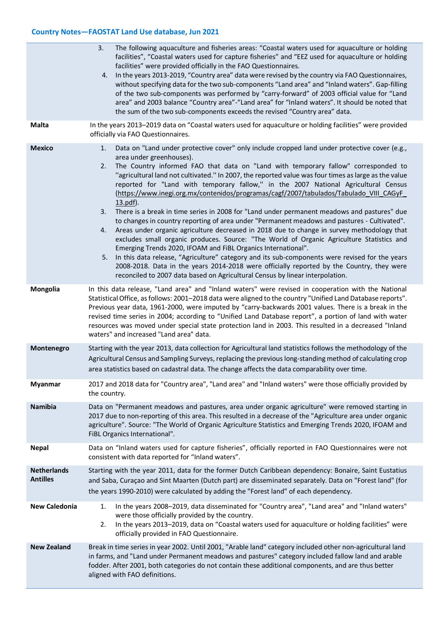|                                       | The following aquaculture and fisheries areas: "Coastal waters used for aquaculture or holding<br>3.<br>facilities", "Coastal waters used for capture fisheries" and "EEZ used for aquaculture or holding<br>facilities" were provided officially in the FAO Questionnaires.<br>In the years 2013-2019, "Country area" data were revised by the country via FAO Questionnaires,<br>4.<br>without specifying data for the two sub-components "Land area" and "Inland waters". Gap-filling<br>of the two sub-components was performed by "carry-forward" of 2003 official value for "Land<br>area" and 2003 balance "Country area"-"Land area" for "Inland waters". It should be noted that<br>the sum of the two sub-components exceeds the revised "Country area" data.                                                                                                                                                                                                                                                                                                                                                                                                                                                                                                                    |  |  |  |
|---------------------------------------|--------------------------------------------------------------------------------------------------------------------------------------------------------------------------------------------------------------------------------------------------------------------------------------------------------------------------------------------------------------------------------------------------------------------------------------------------------------------------------------------------------------------------------------------------------------------------------------------------------------------------------------------------------------------------------------------------------------------------------------------------------------------------------------------------------------------------------------------------------------------------------------------------------------------------------------------------------------------------------------------------------------------------------------------------------------------------------------------------------------------------------------------------------------------------------------------------------------------------------------------------------------------------------------------|--|--|--|
| <b>Malta</b>                          | In the years 2013-2019 data on "Coastal waters used for aquaculture or holding facilities" were provided<br>officially via FAO Questionnaires.                                                                                                                                                                                                                                                                                                                                                                                                                                                                                                                                                                                                                                                                                                                                                                                                                                                                                                                                                                                                                                                                                                                                             |  |  |  |
| <b>Mexico</b>                         | Data on "Land under protective cover" only include cropped land under protective cover (e.g.,<br>1.<br>area under greenhouses).<br>The Country informed FAO that data on "Land with temporary fallow" corresponded to<br>2.<br>"agricultural land not cultivated." In 2007, the reported value was four times as large as the value<br>reported for "Land with temporary fallow," in the 2007 National Agricultural Census<br>(https://www.inegi.org.mx/contenidos/programas/cagf/2007/tabulados/Tabulado VIII CAGyF<br>13.pdf).<br>There is a break in time series in 2008 for "Land under permanent meadows and pastures" due<br>3.<br>to changes in country reporting of area under "Permanent meadows and pastures - Cultivated".<br>Areas under organic agriculture decreased in 2018 due to change in survey methodology that<br>4.<br>excludes small organic produces. Source: "The World of Organic Agriculture Statistics and<br>Emerging Trends 2020, IFOAM and FiBL Organics International".<br>5. In this data release, "Agriculture" category and its sub-components were revised for the years<br>2008-2018. Data in the years 2014-2018 were officially reported by the Country, they were<br>reconciled to 2007 data based on Agricultural Census by linear interpolation. |  |  |  |
| Mongolia                              | In this data release, "Land area" and "Inland waters" were revised in cooperation with the National<br>Statistical Office, as follows: 2001-2018 data were aligned to the country "Unified Land Database reports".<br>Previous year data, 1961-2000, were imputed by "carry-backwards 2001 values. There is a break in the<br>revised time series in 2004; according to "Unified Land Database report", a portion of land with water<br>resources was moved under special state protection land in 2003. This resulted in a decreased "Inland<br>waters" and increased "Land area" data.                                                                                                                                                                                                                                                                                                                                                                                                                                                                                                                                                                                                                                                                                                   |  |  |  |
| Montenegro                            | Starting with the year 2013, data collection for Agricultural land statistics follows the methodology of the<br>Agricultural Census and Sampling Surveys, replacing the previous long-standing method of calculating crop<br>area statistics based on cadastral data. The change affects the data comparability over time.                                                                                                                                                                                                                                                                                                                                                                                                                                                                                                                                                                                                                                                                                                                                                                                                                                                                                                                                                                 |  |  |  |
| <b>Myanmar</b>                        | 2017 and 2018 data for "Country area", "Land area" and "Inland waters" were those officially provided by<br>the country.                                                                                                                                                                                                                                                                                                                                                                                                                                                                                                                                                                                                                                                                                                                                                                                                                                                                                                                                                                                                                                                                                                                                                                   |  |  |  |
| <b>Namibia</b>                        | Data on "Permanent meadows and pastures, area under organic agriculture" were removed starting in<br>2017 due to non-reporting of this area. This resulted in a decrease of the "Agriculture area under organic<br>agriculture". Source: "The World of Organic Agriculture Statistics and Emerging Trends 2020, IFOAM and<br>FiBL Organics International".                                                                                                                                                                                                                                                                                                                                                                                                                                                                                                                                                                                                                                                                                                                                                                                                                                                                                                                                 |  |  |  |
| <b>Nepal</b>                          | Data on "Inland waters used for capture fisheries", officially reported in FAO Questionnaires were not<br>consistent with data reported for "Inland waters".                                                                                                                                                                                                                                                                                                                                                                                                                                                                                                                                                                                                                                                                                                                                                                                                                                                                                                                                                                                                                                                                                                                               |  |  |  |
| <b>Netherlands</b><br><b>Antilles</b> | Starting with the year 2011, data for the former Dutch Caribbean dependency: Bonaire, Saint Eustatius<br>and Saba, Curaçao and Sint Maarten (Dutch part) are disseminated separately. Data on "Forest land" (for<br>the years 1990-2010) were calculated by adding the "Forest land" of each dependency.                                                                                                                                                                                                                                                                                                                                                                                                                                                                                                                                                                                                                                                                                                                                                                                                                                                                                                                                                                                   |  |  |  |
| <b>New Caledonia</b>                  | In the years 2008-2019, data disseminated for "Country area", "Land area" and "Inland waters"<br>1.<br>were those officially provided by the country.<br>In the years 2013-2019, data on "Coastal waters used for aquaculture or holding facilities" were<br>2.<br>officially provided in FAO Questionnaire.                                                                                                                                                                                                                                                                                                                                                                                                                                                                                                                                                                                                                                                                                                                                                                                                                                                                                                                                                                               |  |  |  |
| <b>New Zealand</b>                    | Break in time series in year 2002. Until 2001, "Arable land" category included other non-agricultural land<br>in farms, and "Land under Permanent meadows and pastures" category included fallow land and arable<br>fodder. After 2001, both categories do not contain these additional components, and are thus better<br>aligned with FAO definitions.                                                                                                                                                                                                                                                                                                                                                                                                                                                                                                                                                                                                                                                                                                                                                                                                                                                                                                                                   |  |  |  |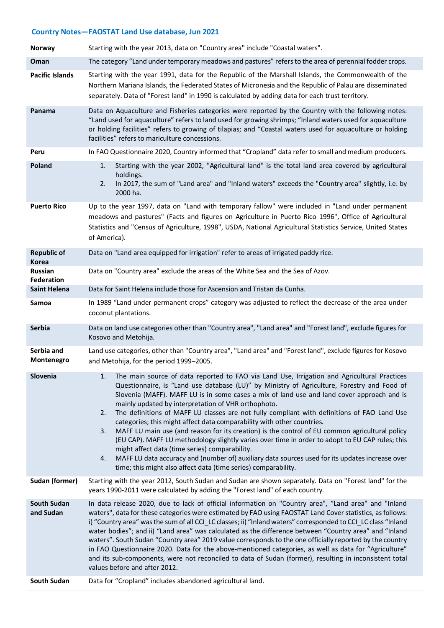| Norway                             | Starting with the year 2013, data on "Country area" include "Coastal waters".                                                                                                                                                                                                                                                                                                                                                                                                                                                                                                                                                                                                                                                                                                                                                                                                                                                                                          |  |  |  |  |
|------------------------------------|------------------------------------------------------------------------------------------------------------------------------------------------------------------------------------------------------------------------------------------------------------------------------------------------------------------------------------------------------------------------------------------------------------------------------------------------------------------------------------------------------------------------------------------------------------------------------------------------------------------------------------------------------------------------------------------------------------------------------------------------------------------------------------------------------------------------------------------------------------------------------------------------------------------------------------------------------------------------|--|--|--|--|
| Oman                               | The category "Land under temporary meadows and pastures" refers to the area of perennial fodder crops.                                                                                                                                                                                                                                                                                                                                                                                                                                                                                                                                                                                                                                                                                                                                                                                                                                                                 |  |  |  |  |
| <b>Pacific Islands</b>             | Starting with the year 1991, data for the Republic of the Marshall Islands, the Commonwealth of the<br>Northern Mariana Islands, the Federated States of Micronesia and the Republic of Palau are disseminated<br>separately. Data of "Forest land" in 1990 is calculated by adding data for each trust territory.                                                                                                                                                                                                                                                                                                                                                                                                                                                                                                                                                                                                                                                     |  |  |  |  |
| Panama                             | Data on Aquaculture and Fisheries categories were reported by the Country with the following notes:<br>"Land used for aquaculture" refers to land used for growing shrimps; "Inland waters used for aquaculture<br>or holding facilities" refers to growing of tilapias; and "Coastal waters used for aquaculture or holding<br>facilities" refers to mariculture concessions.                                                                                                                                                                                                                                                                                                                                                                                                                                                                                                                                                                                         |  |  |  |  |
| Peru                               | In FAO Questionnaire 2020, Country informed that "Cropland" data refer to small and medium producers.                                                                                                                                                                                                                                                                                                                                                                                                                                                                                                                                                                                                                                                                                                                                                                                                                                                                  |  |  |  |  |
| Poland                             | Starting with the year 2002, "Agricultural land" is the total land area covered by agricultural<br>1.<br>holdings.<br>In 2017, the sum of "Land area" and "Inland waters" exceeds the "Country area" slightly, i.e. by<br>2.<br>2000 ha.                                                                                                                                                                                                                                                                                                                                                                                                                                                                                                                                                                                                                                                                                                                               |  |  |  |  |
| <b>Puerto Rico</b>                 | Up to the year 1997, data on "Land with temporary fallow" were included in "Land under permanent<br>meadows and pastures" (Facts and figures on Agriculture in Puerto Rico 1996", Office of Agricultural<br>Statistics and "Census of Agriculture, 1998", USDA, National Agricultural Statistics Service, United States<br>of America).                                                                                                                                                                                                                                                                                                                                                                                                                                                                                                                                                                                                                                |  |  |  |  |
| <b>Republic of</b><br><b>Korea</b> | Data on "Land area equipped for irrigation" refer to areas of irrigated paddy rice.                                                                                                                                                                                                                                                                                                                                                                                                                                                                                                                                                                                                                                                                                                                                                                                                                                                                                    |  |  |  |  |
| <b>Russian</b><br>Federation       | Data on "Country area" exclude the areas of the White Sea and the Sea of Azov.                                                                                                                                                                                                                                                                                                                                                                                                                                                                                                                                                                                                                                                                                                                                                                                                                                                                                         |  |  |  |  |
| <b>Saint Helena</b>                | Data for Saint Helena include those for Ascension and Tristan da Cunha.                                                                                                                                                                                                                                                                                                                                                                                                                                                                                                                                                                                                                                                                                                                                                                                                                                                                                                |  |  |  |  |
| Samoa                              | In 1989 "Land under permanent crops" category was adjusted to reflect the decrease of the area under<br>coconut plantations.                                                                                                                                                                                                                                                                                                                                                                                                                                                                                                                                                                                                                                                                                                                                                                                                                                           |  |  |  |  |
| <b>Serbia</b>                      | Data on land use categories other than "Country area", "Land area" and "Forest land", exclude figures for<br>Kosovo and Metohija.                                                                                                                                                                                                                                                                                                                                                                                                                                                                                                                                                                                                                                                                                                                                                                                                                                      |  |  |  |  |
| Serbia and<br>Montenegro           | Land use categories, other than "Country area", "Land area" and "Forest land", exclude figures for Kosovo<br>and Metohija, for the period 1999-2005.                                                                                                                                                                                                                                                                                                                                                                                                                                                                                                                                                                                                                                                                                                                                                                                                                   |  |  |  |  |
| Slovenia                           | The main source of data reported to FAO via Land Use, Irrigation and Agricultural Practices<br>Questionnaire, is "Land use database (LU)" by Ministry of Agriculture, Forestry and Food of<br>Slovenia (MAFF). MAFF LU is in some cases a mix of land use and land cover approach and is<br>mainly updated by interpretation of VHR orthophoto.<br>The definitions of MAFF LU classes are not fully compliant with definitions of FAO Land Use<br>2.<br>categories; this might affect data comparability with other countries.<br>MAFF LU main use (and reason for its creation) is the control of EU common agricultural policy<br>3.<br>(EU CAP). MAFF LU methodology slightly varies over time in order to adopt to EU CAP rules; this<br>might affect data (time series) comparability.<br>MAFF LU data accuracy and (number of) auxiliary data sources used for its updates increase over<br>4.<br>time; this might also affect data (time series) comparability. |  |  |  |  |
| Sudan (former)                     | Starting with the year 2012, South Sudan and Sudan are shown separately. Data on "Forest land" for the<br>years 1990-2011 were calculated by adding the "Forest land" of each country.                                                                                                                                                                                                                                                                                                                                                                                                                                                                                                                                                                                                                                                                                                                                                                                 |  |  |  |  |
| <b>South Sudan</b><br>and Sudan    | In data release 2020, due to lack of official information on "Country area", "Land area" and "Inland<br>waters", data for these categories were estimated by FAO using FAOSTAT Land Cover statistics, as follows:<br>i) "Country area" was the sum of all CCI_LC classes; ii) "Inland waters" corresponded to CCI_LC class "Inland<br>water bodies"; and ii) "Land area" was calculated as the difference between "Country area" and "Inland<br>waters". South Sudan "Country area" 2019 value corresponds to the one officially reported by the country<br>in FAO Questionnaire 2020. Data for the above-mentioned categories, as well as data for "Agriculture"<br>and its sub-components, were not reconciled to data of Sudan (former), resulting in inconsistent total<br>values before and after 2012.                                                                                                                                                           |  |  |  |  |
| South Sudan                        | Data for "Cropland" includes abandoned agricultural land.                                                                                                                                                                                                                                                                                                                                                                                                                                                                                                                                                                                                                                                                                                                                                                                                                                                                                                              |  |  |  |  |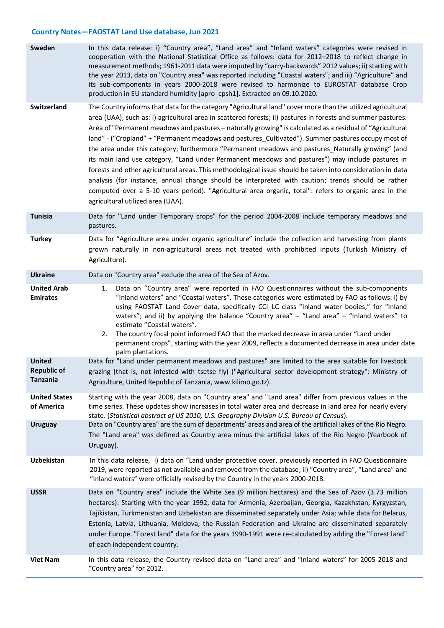| Sweden                                          | In this data release: i) "Country area", "Land area" and "Inland waters" categories were revised in<br>cooperation with the National Statistical Office as follows: data for 2012-2018 to reflect change in<br>measurement methods; 1961-2011 data were imputed by "carry-backwards" 2012 values; ii) starting with<br>the year 2013, data on "Country area" was reported including "Coastal waters"; and iii) "Agriculture" and<br>its sub-components in years 2000-2018 were revised to harmonize to EUROSTAT database Crop<br>production in EU standard humidity [apro cpsh1]. Extracted on 09.10.2020.                                                                                                                                                                                                                                                                                                                                                                                                                |  |  |  |
|-------------------------------------------------|---------------------------------------------------------------------------------------------------------------------------------------------------------------------------------------------------------------------------------------------------------------------------------------------------------------------------------------------------------------------------------------------------------------------------------------------------------------------------------------------------------------------------------------------------------------------------------------------------------------------------------------------------------------------------------------------------------------------------------------------------------------------------------------------------------------------------------------------------------------------------------------------------------------------------------------------------------------------------------------------------------------------------|--|--|--|
| <b>Switzerland</b>                              | The Country informs that data for the category "Agricultural land" cover more than the utilized agricultural<br>area (UAA), such as: i) agricultural area in scattered forests; ii) pastures in forests and summer pastures.<br>Area of "Permanent meadows and pastures - naturally growing" is calculated as a residual of "Agricultural<br>land" - ("Cropland" + "Permanent meadows and pastures_Cultivated"). Summer pastures occupy most of<br>the area under this category; furthermore "Permanent meadows and pastures_Naturally growing" (and<br>its main land use category, "Land under Permanent meadows and pastures") may include pastures in<br>forests and other agricultural areas. This methodological issue should be taken into consideration in data<br>analysis (for instance, annual change should be interpreted with caution; trends should be rather<br>computed over a 5-10 years period). "Agricultural area organic, total": refers to organic area in the<br>agricultural utilized area (UAA). |  |  |  |
| <b>Tunisia</b>                                  | Data for "Land under Temporary crops" for the period 2004-2008 include temporary meadows and<br>pastures.                                                                                                                                                                                                                                                                                                                                                                                                                                                                                                                                                                                                                                                                                                                                                                                                                                                                                                                 |  |  |  |
| <b>Turkey</b>                                   | Data for "Agriculture area under organic agriculture" include the collection and harvesting from plants<br>grown naturally in non-agricultural areas not treated with prohibited inputs (Turkish Ministry of<br>Agriculture).                                                                                                                                                                                                                                                                                                                                                                                                                                                                                                                                                                                                                                                                                                                                                                                             |  |  |  |
| <b>Ukraine</b>                                  | Data on "Country area" exclude the area of the Sea of Azov.                                                                                                                                                                                                                                                                                                                                                                                                                                                                                                                                                                                                                                                                                                                                                                                                                                                                                                                                                               |  |  |  |
| <b>United Arab</b><br><b>Emirates</b>           | Data on "Country area" were reported in FAO Questionnaires without the sub-components<br>1.<br>"Inland waters" and "Coastal waters". These categories were estimated by FAO as follows: i) by<br>using FAOSTAT Land Cover data, specifically CCI_LC class "Inland water bodies," for "Inland<br>waters"; and ii) by applying the balance "Country area" - "Land area" - "Inland waters" to<br>estimate "Coastal waters".<br>The country focal point informed FAO that the marked decrease in area under "Land under<br>2.<br>permanent crops", starting with the year 2009, reflects a documented decrease in area under date<br>palm plantations.                                                                                                                                                                                                                                                                                                                                                                        |  |  |  |
| <b>United</b><br><b>Republic of</b><br>Tanzania | Data for "Land under permanent meadows and pastures" are limited to the area suitable for livestock<br>grazing (that is, not infested with tsetse fly) ("Agricultural sector development strategy": Ministry of<br>Agriculture, United Republic of Tanzania, www.kilimo.go.tz).                                                                                                                                                                                                                                                                                                                                                                                                                                                                                                                                                                                                                                                                                                                                           |  |  |  |
| <b>United States</b><br>of America              | Starting with the year 2008, data on "Country area" and "Land area" differ from previous values in the<br>time series. These updates show increases in total water area and decrease in land area for nearly every<br>state. (Statistical abstract of US 2010, U.S. Geography Division U.S. Bureau of Census).                                                                                                                                                                                                                                                                                                                                                                                                                                                                                                                                                                                                                                                                                                            |  |  |  |
| <b>Uruguay</b>                                  | Data on "Country area" are the sum of departments' areas and area of the artificial lakes of the Río Negro.<br>The "Land area" was defined as Country area minus the artificial lakes of the Rio Negro (Yearbook of<br>Uruguay).                                                                                                                                                                                                                                                                                                                                                                                                                                                                                                                                                                                                                                                                                                                                                                                          |  |  |  |
| <b>Uzbekistan</b>                               | In this data release, i) data on "Land under protective cover, previously reported in FAO Questionnaire<br>2019, were reported as not available and removed from the database; ii) "Country area", "Land area" and<br>"Inland waters" were officially revised by the Country in the years 2000-2018.                                                                                                                                                                                                                                                                                                                                                                                                                                                                                                                                                                                                                                                                                                                      |  |  |  |
| <b>USSR</b>                                     | Data on "Country area" include the White Sea (9 million hectares) and the Sea of Azov (3.73 million<br>hectares). Starting with the year 1992, data for Armenia, Azerbaijan, Georgia, Kazakhstan, Kyrgyzstan,<br>Tajikistan, Turkmenistan and Uzbekistan are disseminated separately under Asia; while data for Belarus,<br>Estonia, Latvia, Lithuania, Moldova, the Russian Federation and Ukraine are disseminated separately<br>under Europe. "Forest land" data for the years 1990-1991 were re-calculated by adding the "Forest land"<br>of each independent country.                                                                                                                                                                                                                                                                                                                                                                                                                                                |  |  |  |
| <b>Viet Nam</b>                                 | In this data release, the Country revised data on "Land area" and "Inland waters" for 2005-2018 and<br>"Country area" for 2012.                                                                                                                                                                                                                                                                                                                                                                                                                                                                                                                                                                                                                                                                                                                                                                                                                                                                                           |  |  |  |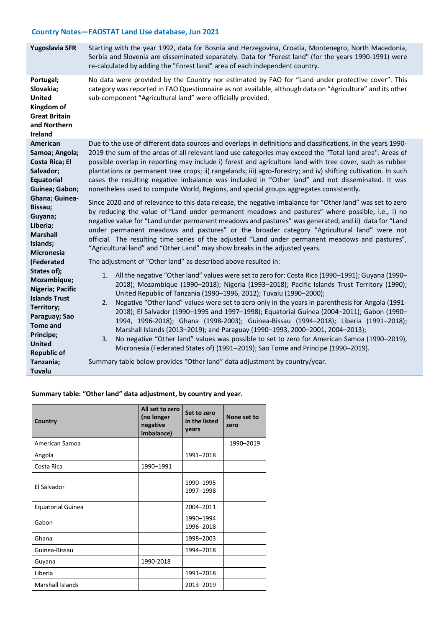| Yugoslavia SFR                                                                                                                                                                      | Starting with the year 1992, data for Bosnia and Herzegovina, Croatia, Montenegro, North Macedonia,<br>Serbia and Slovenia are disseminated separately. Data for "Forest land" (for the years 1990-1991) were<br>re-calculated by adding the "Forest land" area of each independent country.                                                                                                                                                                                                                                                                                                                                                                                                                                                                                                                                                                                                                                                                                                                                                                                                                                                                                     |  |  |  |  |
|-------------------------------------------------------------------------------------------------------------------------------------------------------------------------------------|----------------------------------------------------------------------------------------------------------------------------------------------------------------------------------------------------------------------------------------------------------------------------------------------------------------------------------------------------------------------------------------------------------------------------------------------------------------------------------------------------------------------------------------------------------------------------------------------------------------------------------------------------------------------------------------------------------------------------------------------------------------------------------------------------------------------------------------------------------------------------------------------------------------------------------------------------------------------------------------------------------------------------------------------------------------------------------------------------------------------------------------------------------------------------------|--|--|--|--|
| Portugal;<br>Slovakia;<br><b>United</b><br>Kingdom of<br><b>Great Britain</b><br>and Northern<br>Ireland                                                                            | No data were provided by the Country nor estimated by FAO for "Land under protective cover". This<br>category was reported in FAO Questionnaire as not available, although data on "Agriculture" and its other<br>sub-component "Agricultural land" were officially provided.                                                                                                                                                                                                                                                                                                                                                                                                                                                                                                                                                                                                                                                                                                                                                                                                                                                                                                    |  |  |  |  |
| American<br>Samoa; Angola;<br>Costa Rica; El<br>Salvador;<br><b>Equatorial</b><br>Guinea; Gabon;<br>Ghana; Guinea-<br>Bissau;<br>Guyana;<br>Liberia;<br><b>Marshall</b><br>Islands; | Due to the use of different data sources and overlaps in definitions and classifications, in the years 1990-<br>2019 the sum of the areas of all relevant land use categories may exceed the "Total land area". Areas of<br>possible overlap in reporting may include i) forest and agriculture land with tree cover, such as rubber<br>plantations or permanent tree crops; ii) rangelands; iii) agro-forestry; and iv) shifting cultivation. In such<br>cases the resulting negative imbalance was included in "Other land" and not disseminated. It was<br>nonetheless used to compute World, Regions, and special groups aggregates consistently.<br>Since 2020 and of relevance to this data release, the negative imbalance for "Other land" was set to zero<br>by reducing the value of "Land under permanent meadows and pastures" where possible, i.e., i) no<br>negative value for "Land under permanent meadows and pastures" was generated; and ii) data for "Land<br>under permanent meadows and pastures" or the broader category "Agricultural land" were not<br>official. The resulting time series of the adjusted "Land under permanent meadows and pastures", |  |  |  |  |
| <b>Micronesia</b><br>(Federated                                                                                                                                                     | "Agricultural land" and "Other Land" may show breaks in the adjusted years.<br>The adjustment of "Other land" as described above resulted in:                                                                                                                                                                                                                                                                                                                                                                                                                                                                                                                                                                                                                                                                                                                                                                                                                                                                                                                                                                                                                                    |  |  |  |  |
| States of);<br>Mozambique;<br>Nigeria; Pacific<br><b>Islands Trust</b><br>Territory;<br>Paraguay; Sao<br><b>Tome and</b><br>Principe;<br><b>United</b><br><b>Republic of</b>        | 1. All the negative "Other land" values were set to zero for: Costa Rica (1990-1991); Guyana (1990-<br>2018); Mozambique (1990-2018); Nigeria (1993-2018); Pacific Islands Trust Territory (1990);<br>United Republic of Tanzania (1990-1996, 2012); Tuvalu (1990-2000);<br>Negative "Other land" values were set to zero only in the years in parenthesis for Angola (1991-<br>2.<br>2018); El Salvador (1990-1995 and 1997-1998); Equatorial Guinea (2004-2011); Gabon (1990-<br>1994, 1996-2018); Ghana (1998-2003); Guinea-Bissau (1994-2018); Liberia (1991-2018);<br>Marshall Islands (2013-2019); and Paraguay (1990-1993, 2000-2001, 2004-2013);<br>No negative "Other land" values was possible to set to zero for American Samoa (1990-2019),<br>3.<br>Micronesia (Federated States of) (1991-2019); Sao Tome and Principe (1990-2019).                                                                                                                                                                                                                                                                                                                                |  |  |  |  |
| Tanzania;<br>Tuvalu                                                                                                                                                                 | Summary table below provides "Other land" data adjustment by country/year.                                                                                                                                                                                                                                                                                                                                                                                                                                                                                                                                                                                                                                                                                                                                                                                                                                                                                                                                                                                                                                                                                                       |  |  |  |  |

#### **Summary table: "Other land" data adjustment, by country and year.**

| Country                  | All set to zero<br>(no longer<br>negative<br>imbalance) | Set to zero<br>in the listed<br>years | None set to<br>zero |
|--------------------------|---------------------------------------------------------|---------------------------------------|---------------------|
| American Samoa           |                                                         |                                       | 1990-2019           |
| Angola                   |                                                         | 1991-2018                             |                     |
| Costa Rica               | 1990-1991                                               |                                       |                     |
| El Salvador              |                                                         | 1990-1995<br>1997-1998                |                     |
| <b>Equatorial Guinea</b> |                                                         | 2004-2011                             |                     |
| Gabon                    |                                                         | 1990-1994<br>1996-2018                |                     |
| Ghana                    |                                                         | 1998-2003                             |                     |
| Guinea-Bissau            |                                                         | 1994-2018                             |                     |
| Guyana                   | 1990-2018                                               |                                       |                     |
| Liberia                  |                                                         | 1991-2018                             |                     |
| <b>Marshall Islands</b>  |                                                         | 2013-2019                             |                     |